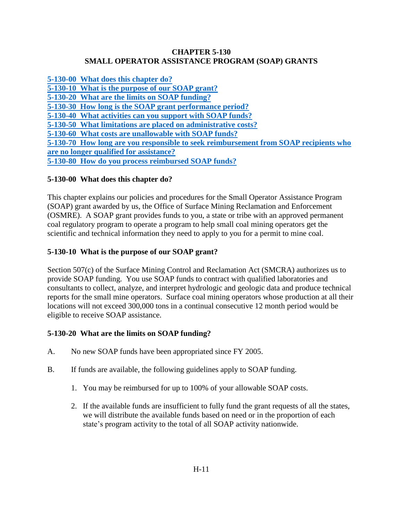### **CHAPTER 5-130 SMALL OPERATOR ASSISTANCE PROGRAM (SOAP) GRANTS**

<span id="page-0-0"></span>**[5-130-00 What does this chapter do?](#page-0-0) [5-130-10 What is the purpose of our SOAP grant?](#page-0-1) [5-130-20 What are the limits on SOAP funding?](#page-0-2) [5-130-30 How long is the SOAP grant performance period?](#page-1-0) [5-130-40 What activities can you support with SOAP funds?](#page-1-1) [5-130-50 What limitations are placed on administrative costs?](#page-5-0) [5-130-60 What costs are unallowable with SOAP funds?](#page-6-0) 5-130-70 How [long are you responsible to seek reimbursement from SOAP recipients who](#page-6-1) [are no longer qualified for assistance?](#page-6-1) 5-130-80 [How do you process reimbursed SOAP funds?](#page-6-2)**

## **5-130-00 What does this chapter do?**

This chapter explains our policies and procedures for the Small Operator Assistance Program (SOAP) grant awarded by us, the Office of Surface Mining Reclamation and Enforcement (OSMRE). A SOAP grant provides funds to you, a state or tribe with an approved permanent coal regulatory program to operate a program to help small coal mining operators get the scientific and technical information they need to apply to you for a permit to mine coal.

# <span id="page-0-1"></span>**5-130-10 What is the purpose of our SOAP grant?**

Section 507(c) of the Surface Mining Control and Reclamation Act (SMCRA) authorizes us to provide SOAP funding. You use SOAP funds to contract with qualified laboratories and consultants to collect, analyze, and interpret hydrologic and geologic data and produce technical reports for the small mine operators. Surface coal mining operators whose production at all their locations will not exceed 300,000 tons in a continual consecutive 12 month period would be eligible to receive SOAP assistance.

### <span id="page-0-2"></span>**5-130-20 What are the limits on SOAP funding?**

- A. No new SOAP funds have been appropriated since FY 2005.
- B. If funds are available, the following guidelines apply to SOAP funding.
	- 1. You may be reimbursed for up to 100% of your allowable SOAP costs.
	- 2. If the available funds are insufficient to fully fund the grant requests of all the states, we will distribute the available funds based on need or in the proportion of each state's program activity to the total of all SOAP activity nationwide.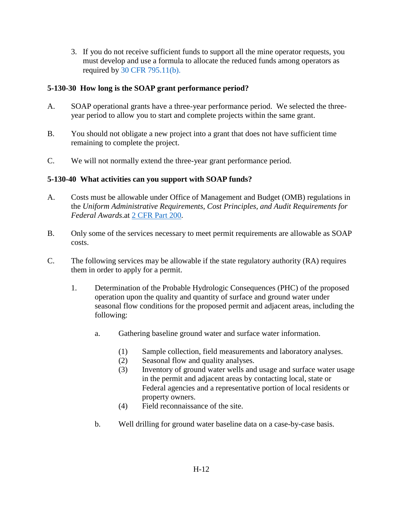3. If you do not receive sufficient funds to support all the mine operator requests, you must develop and use a formula to allocate the reduced funds among operators as required by [30 CFR 795.11\(b\).](http://www.ecfr.gov/cgi-bin/text-idx?SID=3bd3b173eeb54685d68c235a8396c7b0&node=pt30.3.795&rgn=div5#se30.3.795_111)

### <span id="page-1-0"></span>**5-130-30 How long is the SOAP grant performance period?**

- A. SOAP operational grants have a three-year performance period. We selected the threeyear period to allow you to start and complete projects within the same grant.
- B. You should not obligate a new project into a grant that does not have sufficient time remaining to complete the project.
- C. We will not normally extend the three-year grant performance period.

## <span id="page-1-1"></span>**5-130-40 What activities can you support with SOAP funds?**

- A. Costs must be allowable under Office of Management and Budget (OMB) regulations in the *Uniform Administrative Requirements, Cost Principles, and Audit Requirements for Federal Awards*.at [2 CFR Part 200.](http://www.ecfr.gov/cgi-bin/text-idx?SID=3bd3b173eeb54685d68c235a8396c7b0&node=pt2.1.200&rgn=div5)
- B. Only some of the services necessary to meet permit requirements are allowable as SOAP costs.
- C. The following services may be allowable if the state regulatory authority (RA) requires them in order to apply for a permit.
	- 1. Determination of the Probable Hydrologic Consequences (PHC) of the proposed operation upon the quality and quantity of surface and ground water under seasonal flow conditions for the proposed permit and adjacent areas, including the following:
		- a. Gathering baseline ground water and surface water information.
			- (1) Sample collection, field measurements and laboratory analyses.
			- (2) Seasonal flow and quality analyses.
			- (3) Inventory of ground water wells and usage and surface water usage in the permit and adjacent areas by contacting local, state or Federal agencies and a representative portion of local residents or property owners.
			- (4) Field reconnaissance of the site.
		- b. Well drilling for ground water baseline data on a case-by-case basis.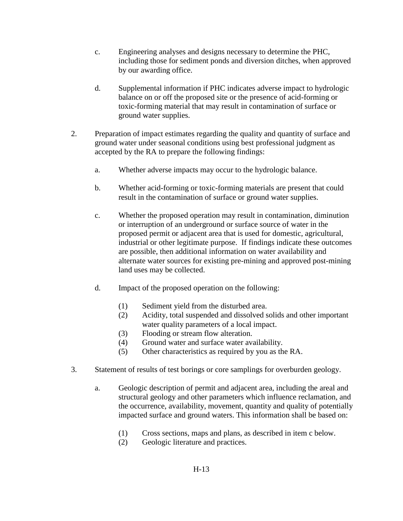- c. Engineering analyses and designs necessary to determine the PHC, including those for sediment ponds and diversion ditches, when approved by our awarding office.
- d. Supplemental information if PHC indicates adverse impact to hydrologic balance on or off the proposed site or the presence of acid-forming or toxic-forming material that may result in contamination of surface or ground water supplies.
- 2. Preparation of impact estimates regarding the quality and quantity of surface and ground water under seasonal conditions using best professional judgment as accepted by the RA to prepare the following findings:
	- a. Whether adverse impacts may occur to the hydrologic balance.
	- b. Whether acid-forming or toxic-forming materials are present that could result in the contamination of surface or ground water supplies.
	- c. Whether the proposed operation may result in contamination, diminution or interruption of an underground or surface source of water in the proposed permit or adjacent area that is used for domestic, agricultural, industrial or other legitimate purpose. If findings indicate these outcomes are possible, then additional information on water availability and alternate water sources for existing pre-mining and approved post-mining land uses may be collected.
	- d. Impact of the proposed operation on the following:
		- (1) Sediment yield from the disturbed area.
		- (2) Acidity, total suspended and dissolved solids and other important water quality parameters of a local impact.
		- (3) Flooding or stream flow alteration.
		- (4) Ground water and surface water availability.
		- (5) Other characteristics as required by you as the RA.
- 3. Statement of results of test borings or core samplings for overburden geology.
	- a. Geologic description of permit and adjacent area, including the areal and structural geology and other parameters which influence reclamation, and the occurrence, availability, movement, quantity and quality of potentially impacted surface and ground waters. This information shall be based on:
		- (1) Cross sections, maps and plans, as described in item c below.
		- (2) Geologic literature and practices.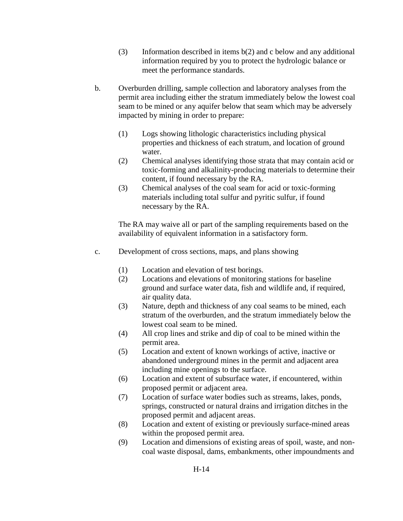- (3) Information described in items b(2) and c below and any additional information required by you to protect the hydrologic balance or meet the performance standards.
- b. Overburden drilling, sample collection and laboratory analyses from the permit area including either the stratum immediately below the lowest coal seam to be mined or any aquifer below that seam which may be adversely impacted by mining in order to prepare:
	- (1) Logs showing lithologic characteristics including physical properties and thickness of each stratum, and location of ground water.
	- (2) Chemical analyses identifying those strata that may contain acid or toxic-forming and alkalinity-producing materials to determine their content, if found necessary by the RA.
	- (3) Chemical analyses of the coal seam for acid or toxic-forming materials including total sulfur and pyritic sulfur, if found necessary by the RA.

The RA may waive all or part of the sampling requirements based on the availability of equivalent information in a satisfactory form.

- c. Development of cross sections, maps, and plans showing
	- (1) Location and elevation of test borings.
	- (2) Locations and elevations of monitoring stations for baseline ground and surface water data, fish and wildlife and, if required, air quality data.
	- (3) Nature, depth and thickness of any coal seams to be mined, each stratum of the overburden, and the stratum immediately below the lowest coal seam to be mined.
	- (4) All crop lines and strike and dip of coal to be mined within the permit area.
	- (5) Location and extent of known workings of active, inactive or abandoned underground mines in the permit and adjacent area including mine openings to the surface.
	- (6) Location and extent of subsurface water, if encountered, within proposed permit or adjacent area.
	- (7) Location of surface water bodies such as streams, lakes, ponds, springs, constructed or natural drains and irrigation ditches in the proposed permit and adjacent areas.
	- (8) Location and extent of existing or previously surface-mined areas within the proposed permit area.
	- (9) Location and dimensions of existing areas of spoil, waste, and noncoal waste disposal, dams, embankments, other impoundments and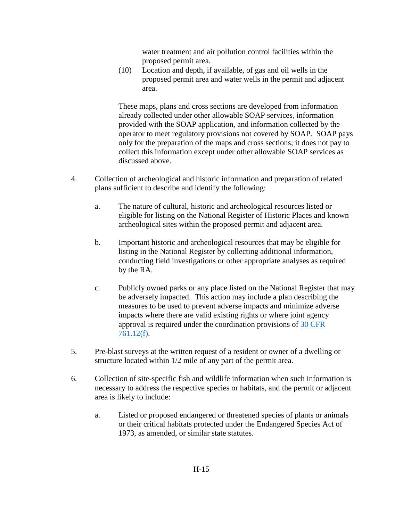water treatment and air pollution control facilities within the proposed permit area.

(10) Location and depth, if available, of gas and oil wells in the proposed permit area and water wells in the permit and adjacent area.

These maps, plans and cross sections are developed from information already collected under other allowable SOAP services, information provided with the SOAP application, and information collected by the operator to meet regulatory provisions not covered by SOAP. SOAP pays only for the preparation of the maps and cross sections; it does not pay to collect this information except under other allowable SOAP services as discussed above.

- 4. Collection of archeological and historic information and preparation of related plans sufficient to describe and identify the following:
	- a. The nature of cultural, historic and archeological resources listed or eligible for listing on the National Register of Historic Places and known archeological sites within the proposed permit and adjacent area.
	- b. Important historic and archeological resources that may be eligible for listing in the National Register by collecting additional information, conducting field investigations or other appropriate analyses as required by the RA.
	- c. Publicly owned parks or any place listed on the National Register that may be adversely impacted. This action may include a plan describing the measures to be used to prevent adverse impacts and minimize adverse impacts where there are valid existing rights or where joint agency approval is required under the coordination provisions of [30 CFR](http://www.ecfr.gov/cgi-bin/text-idx?SID=3bd3b173eeb54685d68c235a8396c7b0&node=se30.3.761_112&rgn=div8)  [761.12\(f\).](http://www.ecfr.gov/cgi-bin/text-idx?SID=3bd3b173eeb54685d68c235a8396c7b0&node=se30.3.761_112&rgn=div8)
- 5. Pre-blast surveys at the written request of a resident or owner of a dwelling or structure located within 1/2 mile of any part of the permit area.
- 6. Collection of site-specific fish and wildlife information when such information is necessary to address the respective species or habitats, and the permit or adjacent area is likely to include:
	- a. Listed or proposed endangered or threatened species of plants or animals or their critical habitats protected under the Endangered Species Act of 1973, as amended, or similar state statutes.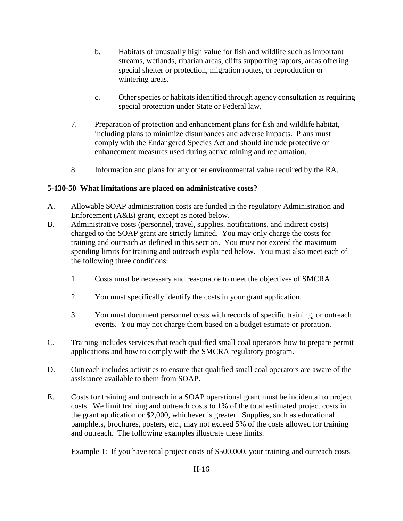- b. Habitats of unusually high value for fish and wildlife such as important streams, wetlands, riparian areas, cliffs supporting raptors, areas offering special shelter or protection, migration routes, or reproduction or wintering areas.
- c. Other species or habitats identified through agency consultation as requiring special protection under State or Federal law.
- 7. Preparation of protection and enhancement plans for fish and wildlife habitat, including plans to minimize disturbances and adverse impacts. Plans must comply with the Endangered Species Act and should include protective or enhancement measures used during active mining and reclamation.
- 8. Information and plans for any other environmental value required by the RA.

## <span id="page-5-0"></span>**5-130-50 What limitations are placed on administrative costs?**

- A. Allowable SOAP administration costs are funded in the regulatory Administration and Enforcement (A&E) grant, except as noted below.
- B. Administrative costs (personnel, travel, supplies, notifications, and indirect costs) charged to the SOAP grant are strictly limited. You may only charge the costs for training and outreach as defined in this section. You must not exceed the maximum spending limits for training and outreach explained below. You must also meet each of the following three conditions:
	- 1. Costs must be necessary and reasonable to meet the objectives of SMCRA.
	- 2. You must specifically identify the costs in your grant application.
	- 3. You must document personnel costs with records of specific training, or outreach events. You may not charge them based on a budget estimate or proration.
- C. Training includes services that teach qualified small coal operators how to prepare permit applications and how to comply with the SMCRA regulatory program.
- D. Outreach includes activities to ensure that qualified small coal operators are aware of the assistance available to them from SOAP.
- E. Costs for training and outreach in a SOAP operational grant must be incidental to project costs. We limit training and outreach costs to 1% of the total estimated project costs in the grant application or \$2,000, whichever is greater. Supplies, such as educational pamphlets, brochures, posters, etc., may not exceed 5% of the costs allowed for training and outreach. The following examples illustrate these limits.

Example 1: If you have total project costs of \$500,000, your training and outreach costs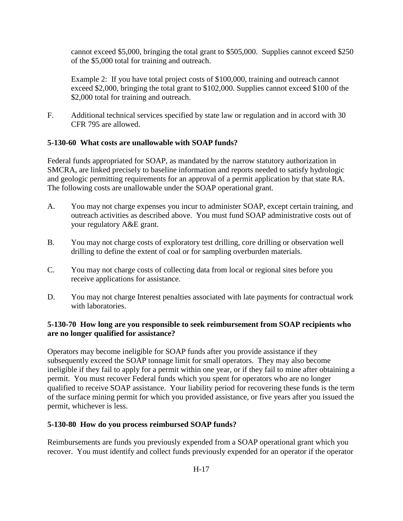cannot exceed \$5,000, bringing the total grant to \$505,000. Supplies cannot exceed \$250 of the \$5,000 total for training and outreach.

Example 2: If you have total project costs of \$100,000, training and outreach cannot exceed \$2,000, bringing the total grant to \$102,000. Supplies cannot exceed \$100 of the \$2,000 total for training and outreach.

F. Additional technical services specified by state law or regulation and in accord with 30 CFR 795 are allowed.

### <span id="page-6-0"></span>**5-130-60 What costs are unallowable with SOAP funds?**

Federal funds appropriated for SOAP, as mandated by the narrow statutory authorization in SMCRA, are linked precisely to baseline information and reports needed to satisfy hydrologic and geologic permitting requirements for an approval of a permit application by that state RA. The following costs are unallowable under the SOAP operational grant.

- A. You may not charge expenses you incur to administer SOAP, except certain training, and outreach activities as described above. You must fund SOAP administrative costs out of your regulatory A&E grant.
- B. You may not charge costs of exploratory test drilling, core drilling or observation well drilling to define the extent of coal or for sampling overburden materials.
- C. You may not charge costs of collecting data from local or regional sites before you receive applications for assistance.
- D. You may not charge Interest penalties associated with late payments for contractual work with laboratories.

### <span id="page-6-1"></span>**5-130-70 How long are you responsible to seek reimbursement from SOAP recipients who are no longer qualified for assistance?**

Operators may become ineligible for SOAP funds after you provide assistance if they subsequently exceed the SOAP tonnage limit for small operators. They may also become ineligible if they fail to apply for a permit within one year, or if they fail to mine after obtaining a permit. You must recover Federal funds which you spent for operators who are no longer qualified to receive SOAP assistance. Your liability period for recovering these funds is the term of the surface mining permit for which you provided assistance, or five years after you issued the permit, whichever is less.

### <span id="page-6-2"></span>**5-130-80 How do you process reimbursed SOAP funds?**

Reimbursements are funds you previously expended from a SOAP operational grant which you recover. You must identify and collect funds previously expended for an operator if the operator